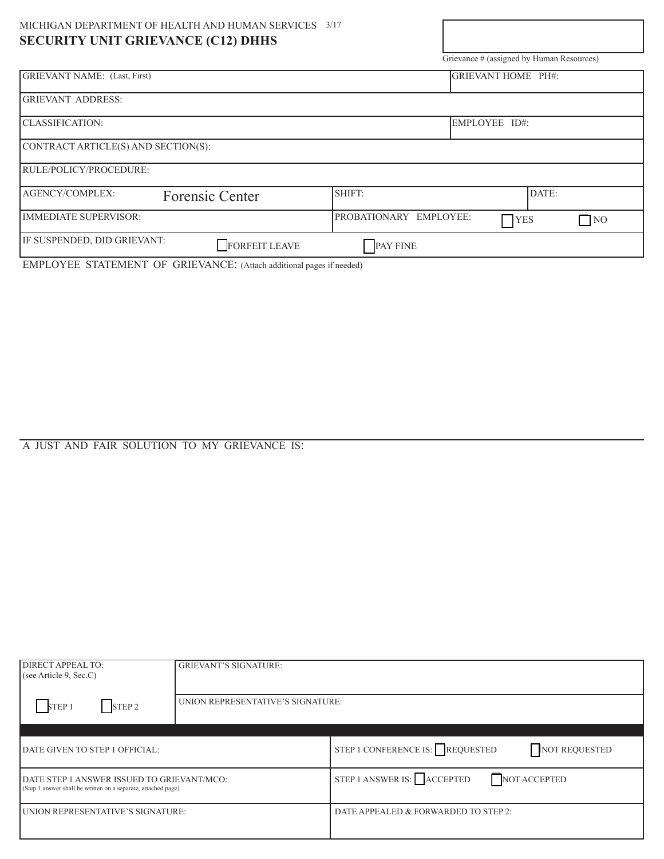| MICHIGAN DEPARTMENT OF HEALTH AND HUMAN SERVICES 3/17 |                                                      |
|-------------------------------------------------------|------------------------------------------------------|
| <b>SECURITY UNIT GRIEVANCE (C12) DHHS</b>             |                                                      |
|                                                       | Grievance # (assigned by Human Resources)            |
| <b>GRIEVANT NAME:</b> (Last, First)                   | GRIEVANT HOME PH#:                                   |
| <b>GRIEVANT ADDRESS:</b>                              |                                                      |
| CLASSIFICATION:                                       | EMPLOYEE ID#:                                        |
| CONTRACT ARTICLE(S) AND SECTION(S):                   |                                                      |
| RULE/POLICY/PROCEDURE:                                |                                                      |
| <b>AGENCY/COMPLEX:</b><br>Forensic Center             | SHIFT:<br>DATE:                                      |
| IMMEDIATE SUPERVISOR:                                 | PROBATIONARY EMPLOYEE:<br>$\bigcap$ YES<br>$\Box$ NO |
| IF SUSPENDED, DID GRIEVANT:<br><b>FORFEIT LEAVE</b>   | PAY FINE                                             |

EMPLOYEE STATEMENT OF GRIEVANCE: (Attach additional pages if needed)

## A JUST AND FAIR SOLUTION TO MY GRIEVANCE IS:

| DIRECT APPEAL TO:<br>(see Article 9, Sec.C)                                                                 | <b>GRIEVANT'S SIGNATURE:</b>      |                                                  |
|-------------------------------------------------------------------------------------------------------------|-----------------------------------|--------------------------------------------------|
| STEP <sub>2</sub><br>STEP 1                                                                                 | UNION REPRESENTATIVE'S SIGNATURE: |                                                  |
|                                                                                                             |                                   |                                                  |
| DATE GIVEN TO STEP 1 OFFICIAL:                                                                              |                                   | STEP 1 CONFERENCE IS: REQUESTED<br>NOT REQUESTED |
| DATE STEP 1 ANSWER ISSUED TO GRIEVANT/MCO:<br>(Step 1 answer shall be written on a separate, attached page) |                                   | STEP 1 ANSWER IS: ACCEPTED<br>NOT ACCEPTED       |
| UNION REPRESENTATIVE'S SIGNATURE:                                                                           |                                   | DATE APPEALED & FORWARDED TO STEP 2:             |